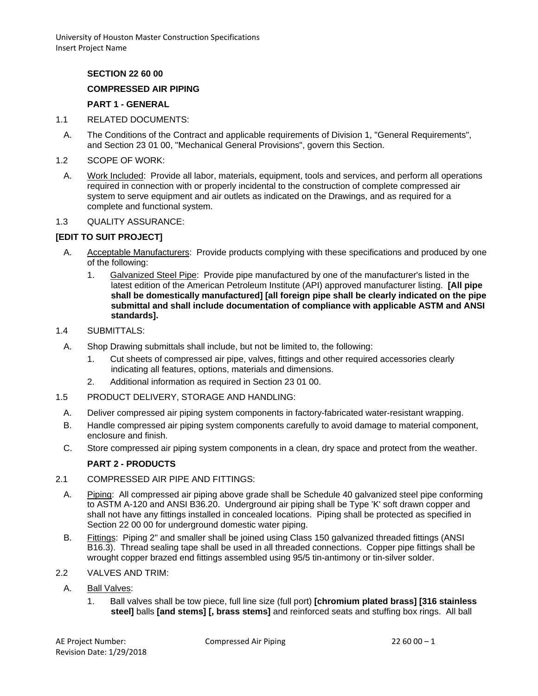University of Houston Master Construction Specifications Insert Project Name

## **SECTION 22 60 00**

#### **COMPRESSED AIR PIPING**

### **PART 1 - GENERAL**

- 1.1 RELATED DOCUMENTS:
- A. The Conditions of the Contract and applicable requirements of Division 1, "General Requirements", and Section 23 01 00, "Mechanical General Provisions", govern this Section.
- 1.2 SCOPE OF WORK:
- A. Work Included: Provide all labor, materials, equipment, tools and services, and perform all operations required in connection with or properly incidental to the construction of complete compressed air system to serve equipment and air outlets as indicated on the Drawings, and as required for a complete and functional system.
- 1.3 QUALITY ASSURANCE:

### **[EDIT TO SUIT PROJECT]**

- A. Acceptable Manufacturers: Provide products complying with these specifications and produced by one of the following:
	- 1. Galvanized Steel Pipe: Provide pipe manufactured by one of the manufacturer's listed in the latest edition of the American Petroleum Institute (API) approved manufacturer listing. **[All pipe shall be domestically manufactured] [all foreign pipe shall be clearly indicated on the pipe submittal and shall include documentation of compliance with applicable ASTM and ANSI standards].**
- 1.4 SUBMITTALS:
- A. Shop Drawing submittals shall include, but not be limited to, the following:
	- 1. Cut sheets of compressed air pipe, valves, fittings and other required accessories clearly indicating all features, options, materials and dimensions.
	- 2. Additional information as required in Section 23 01 00.
- 1.5 PRODUCT DELIVERY, STORAGE AND HANDLING:
	- A. Deliver compressed air piping system components in factory-fabricated water-resistant wrapping.
	- B. Handle compressed air piping system components carefully to avoid damage to material component, enclosure and finish.
	- C. Store compressed air piping system components in a clean, dry space and protect from the weather.

#### **PART 2 - PRODUCTS**

- 2.1 COMPRESSED AIR PIPE AND FITTINGS:
	- A. Piping: All compressed air piping above grade shall be Schedule 40 galvanized steel pipe conforming to ASTM A-120 and ANSI B36.20. Underground air piping shall be Type 'K' soft drawn copper and shall not have any fittings installed in concealed locations. Piping shall be protected as specified in Section 22 00 00 for underground domestic water piping.
- B. Fittings: Piping 2" and smaller shall be joined using Class 150 galvanized threaded fittings (ANSI B16.3). Thread sealing tape shall be used in all threaded connections. Copper pipe fittings shall be wrought copper brazed end fittings assembled using 95/5 tin-antimony or tin-silver solder.
- 2.2 VALVES AND TRIM:
	- A. Ball Valves:
		- 1. Ball valves shall be tow piece, full line size (full port) **[chromium plated brass] [316 stainless steel]** balls **[and stems] [, brass stems]** and reinforced seats and stuffing box rings. All ball